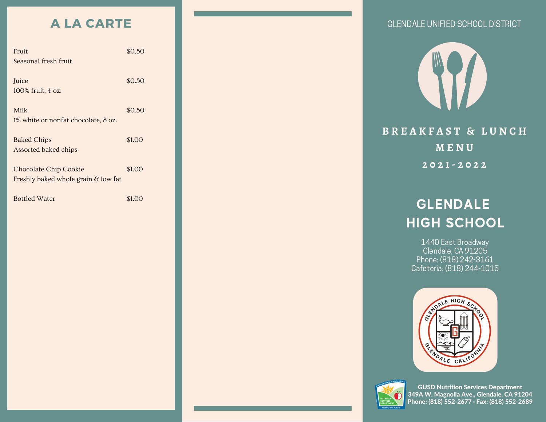### **A LA CARTE**

| Fruit                                          | \$0.50 |
|------------------------------------------------|--------|
| Seasonal fresh fruit                           |        |
|                                                |        |
| Juice                                          | \$0.50 |
| 100% fruit, 4 oz.                              |        |
|                                                |        |
| Milk                                           | \$0.50 |
| 1% white or nonfat chocolate, 8 oz.            |        |
|                                                |        |
| <b>Baked Chips</b>                             | \$1.00 |
| Assorted baked chips                           |        |
|                                                |        |
| <b>Chocolate Chip Cookie</b>                   | \$1.00 |
| Freshly baked whole grain $\mathcal G$ low fat |        |
|                                                |        |
| <b>Bottled Water</b>                           | 81 OC  |





### GLENDALE HIGH SCHOOL

1440 East Broadway Glendale, CA 91205 Phone: (818) 242-3161 Cafeteria: (818) 244-1015





GUSD Nutrition Services Department 349A W. Magnolia Ave., Glendale, CA 91204 Phone: (818) 552-2677 · Fax: (818) 552-2689